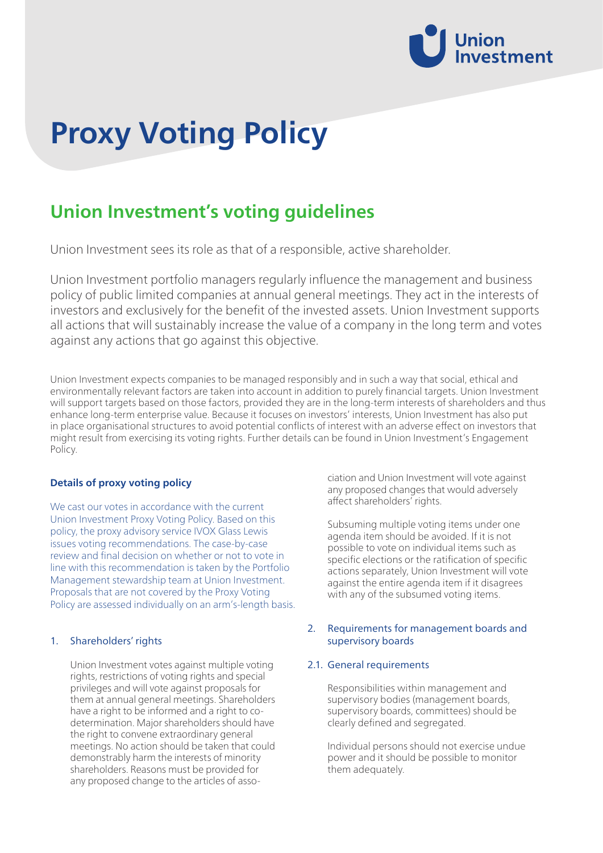

# **Proxy Voting Policy**

# **Union Investment's voting guidelines**

Union Investment sees its role as that of a responsible, active shareholder.

Union Investment portfolio managers regularly influence the management and business policy of public limited companies at annual general meetings. They act in the interests of investors and exclusively for the benefit of the invested assets. Union Investment supports all actions that will sustainably increase the value of a company in the long term and votes against any actions that go against this objective.

Union Investment expects companies to be managed responsibly and in such a way that social, ethical and environmentally relevant factors are taken into account in addition to purely financial targets. Union Investment will support targets based on those factors, provided they are in the long-term interests of shareholders and thus enhance long-term enterprise value. Because it focuses on investors' interests, Union Investment has also put in place organisational structures to avoid potential conflicts of interest with an adverse effect on investors that might result from exercising its voting rights. Further details can be found in Union Investment's Engagement Policy.

# **Details of proxy voting policy**

We cast our votes in accordance with the current Union Investment Proxy Voting Policy. Based on this policy, the proxy advisory service IVOX Glass Lewis issues voting recommendations. The case-by-case review and final decision on whether or not to vote in line with this recommendation is taken by the Portfolio Management stewardship team at Union Investment. Proposals that are not covered by the Proxy Voting Policy are assessed individually on an arm's-length basis.

#### 1. Shareholders' rights

Union Investment votes against multiple voting rights, restrictions of voting rights and special privileges and will vote against proposals for them at annual general meetings. Shareholders have a right to be informed and a right to codetermination. Major shareholders should have the right to convene extraordinary general meetings. No action should be taken that could demonstrably harm the interests of minority shareholders. Reasons must be provided for any proposed change to the articles of association and Union Investment will vote against any proposed changes that would adversely affect shareholders' rights.

Subsuming multiple voting items under one agenda item should be avoided. If it is not possible to vote on individual items such as specific elections or the ratification of specific actions separately, Union Investment will vote against the entire agenda item if it disagrees with any of the subsumed voting items.

# 2. Requirements for management boards and supervisory boards

#### 2.1. General requirements

Responsibilities within management and supervisory bodies (management boards, supervisory boards, committees) should be clearly defined and segregated.

Individual persons should not exercise undue power and it should be possible to monitor them adequately.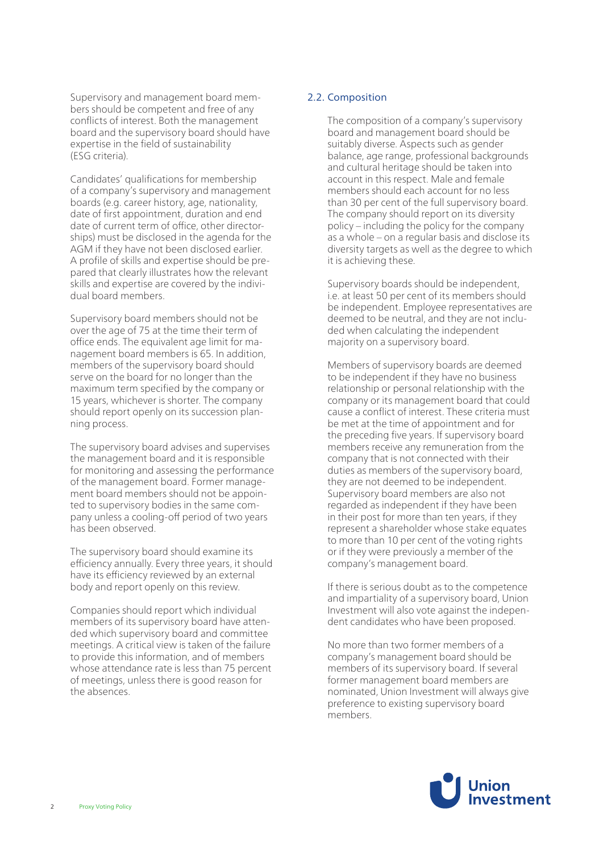Supervisory and management board members should be competent and free of any conflicts of interest. Both the management board and the supervisory board should have expertise in the field of sustainability (ESG criteria).

Candidates' qualifications for membership of a company's supervisory and management boards (e.g. career history, age, nationality, date of first appointment, duration and end date of current term of office, other directorships) must be disclosed in the agenda for the AGM if they have not been disclosed earlier. A profile of skills and expertise should be prepared that clearly illustrates how the relevant skills and expertise are covered by the individual board members.

Supervisory board members should not be over the age of 75 at the time their term of office ends. The equivalent age limit for management board members is 65. In addition, members of the supervisory board should serve on the board for no longer than the maximum term specified by the company or 15 years, whichever is shorter. The company should report openly on its succession planning process.

The supervisory board advises and supervises the management board and it is responsible for monitoring and assessing the performance of the management board. Former management board members should not be appointed to supervisory bodies in the same company unless a cooling-off period of two years has been observed.

The supervisory board should examine its efficiency annually. Every three years, it should have its efficiency reviewed by an external body and report openly on this review.

Companies should report which individual members of its supervisory board have attended which supervisory board and committee meetings. A critical view is taken of the failure to provide this information, and of members whose attendance rate is less than 75 percent of meetings, unless there is good reason for the absences.

# 2.2. Composition

The composition of a company's supervisory board and management board should be suitably diverse. Aspects such as gender balance, age range, professional backgrounds and cultural heritage should be taken into account in this respect. Male and female members should each account for no less than 30 per cent of the full supervisory board. The company should report on its diversity policy – including the policy for the company as a whole – on a regular basis and disclose its diversity targets as well as the degree to which it is achieving these.

Supervisory boards should be independent, i.e. at least 50 per cent of its members should be independent. Employee representatives are deemed to be neutral, and they are not included when calculating the independent majority on a supervisory board.

Members of supervisory boards are deemed to be independent if they have no business relationship or personal relationship with the company or its management board that could cause a conflict of interest. These criteria must be met at the time of appointment and for the preceding five years. If supervisory board members receive any remuneration from the company that is not connected with their duties as members of the supervisory board, they are not deemed to be independent. Supervisory board members are also not regarded as independent if they have been in their post for more than ten years, if they represent a shareholder whose stake equates to more than 10 per cent of the voting rights or if they were previously a member of the company's management board.

If there is serious doubt as to the competence and impartiality of a supervisory board, Union Investment will also vote against the independent candidates who have been proposed.

No more than two former members of a company's management board should be members of its supervisory board. If several former management board members are nominated, Union Investment will always give preference to existing supervisory board members.

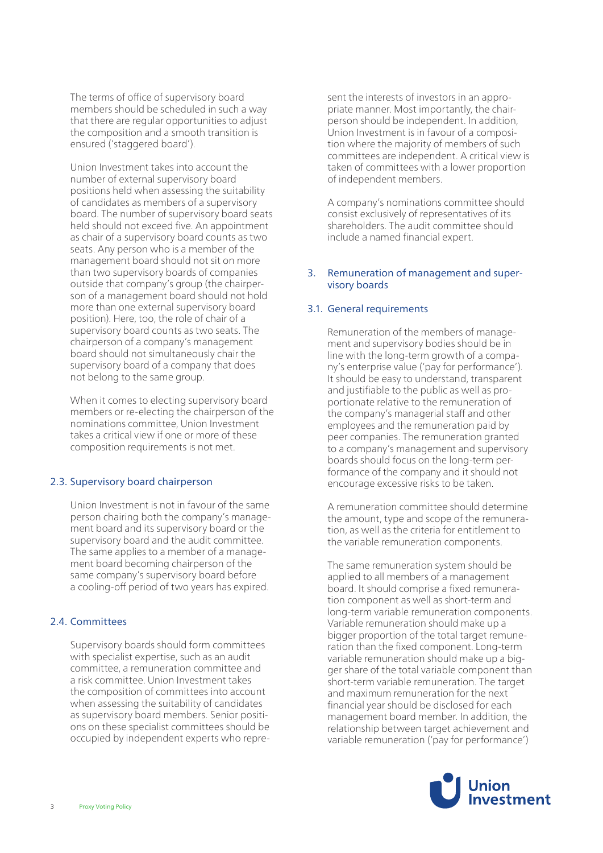The terms of office of supervisory board members should be scheduled in such a way that there are regular opportunities to adjust the composition and a smooth transition is ensured ('staggered board').

Union Investment takes into account the number of external supervisory board positions held when assessing the suitability of candidates as members of a supervisory board. The number of supervisory board seats held should not exceed five. An appointment as chair of a supervisory board counts as two seats. Any person who is a member of the management board should not sit on more than two supervisory boards of companies outside that company's group (the chairperson of a management board should not hold more than one external supervisory board position). Here, too, the role of chair of a supervisory board counts as two seats. The chairperson of a company's management board should not simultaneously chair the supervisory board of a company that does not belong to the same group.

When it comes to electing supervisory board members or re-electing the chairperson of the nominations committee, Union Investment takes a critical view if one or more of these composition requirements is not met.

# 2.3. Supervisory board chairperson

Union Investment is not in favour of the same person chairing both the company's management board and its supervisory board or the supervisory board and the audit committee. The same applies to a member of a management board becoming chairperson of the same company's supervisory board before a cooling-off period of two years has expired.

# 2.4. Committees

Supervisory boards should form committees with specialist expertise, such as an audit committee, a remuneration committee and a risk committee. Union Investment takes the composition of committees into account when assessing the suitability of candidates as supervisory board members. Senior positions on these specialist committees should be occupied by independent experts who represent the interests of investors in an appropriate manner. Most importantly, the chairperson should be independent. In addition, Union Investment is in favour of a composition where the majority of members of such committees are independent. A critical view is taken of committees with a lower proportion of independent members.

A company's nominations committee should consist exclusively of representatives of its shareholders. The audit committee should include a named financial expert.

# 3. Remuneration of management and supervisory boards

#### 3.1. General requirements

Remuneration of the members of management and supervisory bodies should be in line with the long-term growth of a company's enterprise value ('pay for performance'). It should be easy to understand, transparent and justifiable to the public as well as proportionate relative to the remuneration of the company's managerial staff and other employees and the remuneration paid by peer companies. The remuneration granted to a company's management and supervisory boards should focus on the long-term performance of the company and it should not encourage excessive risks to be taken.

A remuneration committee should determine the amount, type and scope of the remuneration, as well as the criteria for entitlement to the variable remuneration components.

The same remuneration system should be applied to all members of a management board. It should comprise a fixed remuneration component as well as short-term and long-term variable remuneration components. Variable remuneration should make up a bigger proportion of the total target remuneration than the fixed component. Long-term variable remuneration should make up a bigger share of the total variable component than short-term variable remuneration. The target and maximum remuneration for the next financial year should be disclosed for each management board member. In addition, the relationship between target achievement and variable remuneration ('pay for performance')

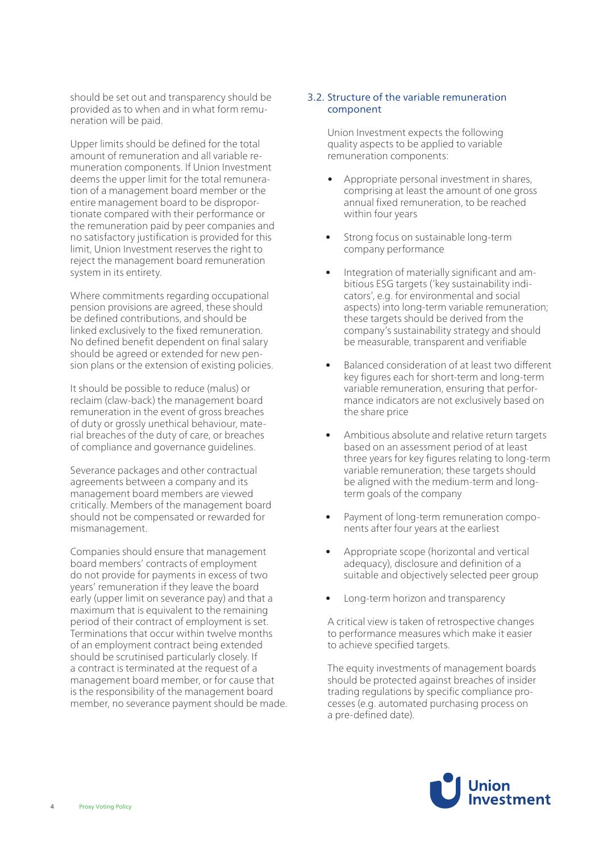should be set out and transparency should be provided as to when and in what form remuneration will be paid.

Upper limits should be defined for the total amount of remuneration and all variable remuneration components. If Union Investment deems the upper limit for the total remuneration of a management board member or the entire management board to be disproportionate compared with their performance or the remuneration paid by peer companies and no satisfactory justification is provided for this limit, Union Investment reserves the right to reject the management board remuneration system in its entirety.

Where commitments regarding occupational pension provisions are agreed, these should be defined contributions, and should be linked exclusively to the fixed remuneration. No defined benefit dependent on final salary should be agreed or extended for new pension plans or the extension of existing policies.

It should be possible to reduce (malus) or reclaim (claw-back) the management board remuneration in the event of gross breaches of duty or grossly unethical behaviour, material breaches of the duty of care, or breaches of compliance and governance guidelines.

Severance packages and other contractual agreements between a company and its management board members are viewed critically. Members of the management board should not be compensated or rewarded for mismanagement.

Companies should ensure that management board members' contracts of employment do not provide for payments in excess of two years' remuneration if they leave the board early (upper limit on severance pay) and that a maximum that is equivalent to the remaining period of their contract of employment is set. Terminations that occur within twelve months of an employment contract being extended should be scrutinised particularly closely. If a contract is terminated at the request of a management board member, or for cause that is the responsibility of the management board member, no severance payment should be made.

# 3.2. Structure of the variable remuneration component

Union Investment expects the following quality aspects to be applied to variable remuneration components:

- Appropriate personal investment in shares, comprising at least the amount of one gross annual fixed remuneration, to be reached within four years
- Strong focus on sustainable long-term company performance
- Integration of materially significant and ambitious ESG targets ('key sustainability indicators', e.g. for environmental and social aspects) into long-term variable remuneration; these targets should be derived from the company's sustainability strategy and should be measurable, transparent and verifiable
- Balanced consideration of at least two different key figures each for short-term and long-term variable remuneration, ensuring that performance indicators are not exclusively based on the share price
- Ambitious absolute and relative return targets based on an assessment period of at least three years for key figures relating to long-term variable remuneration; these targets should be aligned with the medium-term and longterm goals of the company
- Payment of long-term remuneration components after four years at the earliest
- Appropriate scope (horizontal and vertical adequacy), disclosure and definition of a suitable and objectively selected peer group
- Long-term horizon and transparency

A critical view is taken of retrospective changes to performance measures which make it easier to achieve specified targets.

The equity investments of management boards should be protected against breaches of insider trading regulations by specific compliance processes (e.g. automated purchasing process on a pre-defined date).

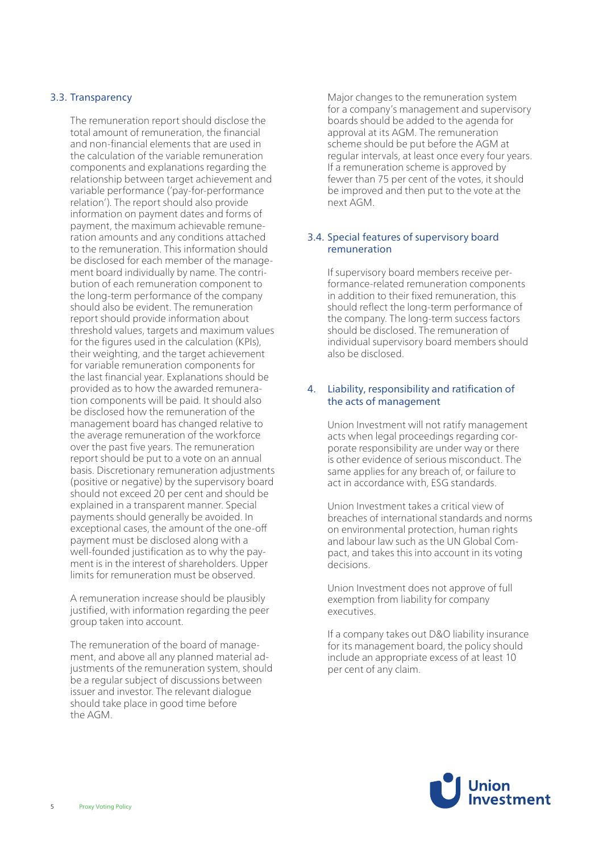# 3.3. Transparency

The remuneration report should disclose the total amount of remuneration, the financial and non-financial elements that are used in the calculation of the variable remuneration components and explanations regarding the relationship between target achievement and variable performance ('pay-for-performance relation'). The report should also provide information on payment dates and forms of payment, the maximum achievable remuneration amounts and any conditions attached to the remuneration. This information should be disclosed for each member of the management board individually by name. The contribution of each remuneration component to the long-term performance of the company should also be evident. The remuneration report should provide information about threshold values, targets and maximum values for the figures used in the calculation (KPIs), their weighting, and the target achievement for variable remuneration components for the last financial year. Explanations should be provided as to how the awarded remuneration components will be paid. It should also be disclosed how the remuneration of the management board has changed relative to the average remuneration of the workforce over the past five years. The remuneration report should be put to a vote on an annual basis. Discretionary remuneration adjustments (positive or negative) by the supervisory board should not exceed 20 per cent and should be explained in a transparent manner. Special payments should generally be avoided. In exceptional cases, the amount of the one-off payment must be disclosed along with a well-founded justification as to why the payment is in the interest of shareholders. Upper limits for remuneration must be observed.

A remuneration increase should be plausibly justified, with information regarding the peer group taken into account.

The remuneration of the board of management, and above all any planned material adjustments of the remuneration system, should be a regular subject of discussions between issuer and investor. The relevant dialogue should take place in good time before the AGM.

Major changes to the remuneration system for a company's management and supervisory boards should be added to the agenda for approval at its AGM. The remuneration scheme should be put before the AGM at regular intervals, at least once every four years. If a remuneration scheme is approved by fewer than 75 per cent of the votes, it should be improved and then put to the vote at the next AGM.

# 3.4. Special features of supervisory board remuneration

If supervisory board members receive performance-related remuneration components in addition to their fixed remuneration, this should reflect the long-term performance of the company. The long-term success factors should be disclosed. The remuneration of individual supervisory board members should also be disclosed.

# 4. Liability, responsibility and ratification of the acts of management

Union Investment will not ratify management acts when legal proceedings regarding corporate responsibility are under way or there is other evidence of serious misconduct. The same applies for any breach of, or failure to act in accordance with, ESG standards.

Union Investment takes a critical view of breaches of international standards and norms on environmental protection, human rights and labour law such as the UN Global Compact, and takes this into account in its voting decisions.

Union Investment does not approve of full exemption from liability for company executives.

If a company takes out D&O liability insurance for its management board, the policy should include an appropriate excess of at least 10 per cent of any claim.

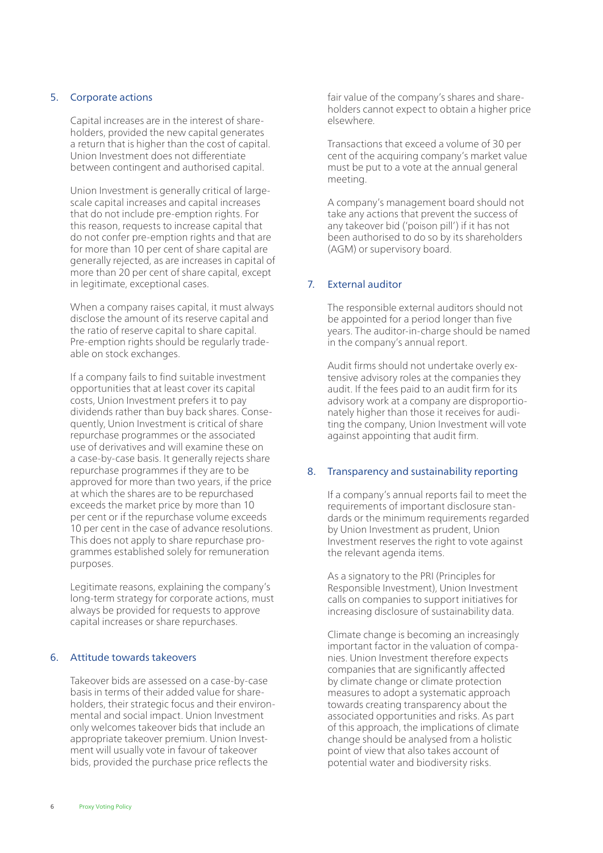# 5. Corporate actions

Capital increases are in the interest of shareholders, provided the new capital generates a return that is higher than the cost of capital. Union Investment does not differentiate between contingent and authorised capital.

Union Investment is generally critical of largescale capital increases and capital increases that do not include pre-emption rights. For this reason, requests to increase capital that do not confer pre-emption rights and that are for more than 10 per cent of share capital are generally rejected, as are increases in capital of more than 20 per cent of share capital, except in legitimate, exceptional cases.

When a company raises capital, it must always disclose the amount of its reserve capital and the ratio of reserve capital to share capital. Pre-emption rights should be regularly tradeable on stock exchanges.

If a company fails to find suitable investment opportunities that at least cover its capital costs, Union Investment prefers it to pay dividends rather than buy back shares. Consequently, Union Investment is critical of share repurchase programmes or the associated use of derivatives and will examine these on a case-by-case basis. It generally rejects share repurchase programmes if they are to be approved for more than two years, if the price at which the shares are to be repurchased exceeds the market price by more than 10 per cent or if the repurchase volume exceeds 10 per cent in the case of advance resolutions. This does not apply to share repurchase programmes established solely for remuneration purposes.

Legitimate reasons, explaining the company's long-term strategy for corporate actions, must always be provided for requests to approve capital increases or share repurchases.

#### 6. Attitude towards takeovers

Takeover bids are assessed on a case-by-case basis in terms of their added value for shareholders, their strategic focus and their environmental and social impact. Union Investment only welcomes takeover bids that include an appropriate takeover premium. Union Investment will usually vote in favour of takeover bids, provided the purchase price reflects the

fair value of the company's shares and shareholders cannot expect to obtain a higher price elsewhere.

Transactions that exceed a volume of 30 per cent of the acquiring company's market value must be put to a vote at the annual general meeting.

A company's management board should not take any actions that prevent the success of any takeover bid ('poison pill') if it has not been authorised to do so by its shareholders (AGM) or supervisory board.

# 7. External auditor

The responsible external auditors should not be appointed for a period longer than five years. The auditor-in-charge should be named in the company's annual report.

Audit firms should not undertake overly extensive advisory roles at the companies they audit. If the fees paid to an audit firm for its advisory work at a company are disproportionately higher than those it receives for auditing the company, Union Investment will vote against appointing that audit firm.

# 8. Transparency and sustainability reporting

If a company's annual reports fail to meet the requirements of important disclosure standards or the minimum requirements regarded by Union Investment as prudent, Union Investment reserves the right to vote against the relevant agenda items.

As a signatory to the PRI (Principles for Responsible Investment), Union Investment calls on companies to support initiatives for increasing disclosure of sustainability data.

Climate change is becoming an increasingly important factor in the valuation of companies. Union Investment therefore expects companies that are significantly affected by climate change or climate protection measures to adopt a systematic approach towards creating transparency about the associated opportunities and risks. As part of this approach, the implications of climate change should be analysed from a holistic point of view that also takes account of potential water and biodiversity risks.